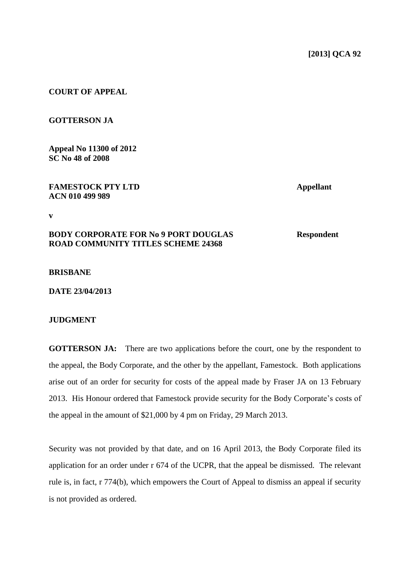### **COURT OF APPEAL**

### **GOTTERSON JA**

**Appeal No 11300 of 2012 SC No 48 of 2008**

### **FAMESTOCK PTY LTD Appellant ACN 010 499 989**

**v**

# **BODY CORPORATE FOR No 9 PORT DOUGLAS Respondent ROAD COMMUNITY TITLES SCHEME 24368**

#### **BRISBANE**

**DATE 23/04/2013**

# **JUDGMENT**

**GOTTERSON JA:** There are two applications before the court, one by the respondent to the appeal, the Body Corporate, and the other by the appellant, Famestock. Both applications arise out of an order for security for costs of the appeal made by Fraser JA on 13 February 2013. His Honour ordered that Famestock provide security for the Body Corporate's costs of the appeal in the amount of \$21,000 by 4 pm on Friday, 29 March 2013.

Security was not provided by that date, and on 16 April 2013, the Body Corporate filed its application for an order under r 674 of the UCPR, that the appeal be dismissed. The relevant rule is, in fact, r 774(b), which empowers the Court of Appeal to dismiss an appeal if security is not provided as ordered.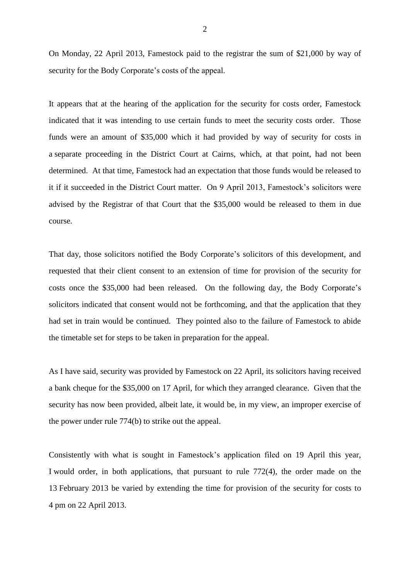On Monday, 22 April 2013, Famestock paid to the registrar the sum of \$21,000 by way of security for the Body Corporate's costs of the appeal.

It appears that at the hearing of the application for the security for costs order, Famestock indicated that it was intending to use certain funds to meet the security costs order. Those funds were an amount of \$35,000 which it had provided by way of security for costs in a separate proceeding in the District Court at Cairns, which, at that point, had not been determined. At that time, Famestock had an expectation that those funds would be released to it if it succeeded in the District Court matter. On 9 April 2013, Famestock's solicitors were advised by the Registrar of that Court that the \$35,000 would be released to them in due course.

That day, those solicitors notified the Body Corporate's solicitors of this development, and requested that their client consent to an extension of time for provision of the security for costs once the \$35,000 had been released. On the following day, the Body Corporate's solicitors indicated that consent would not be forthcoming, and that the application that they had set in train would be continued. They pointed also to the failure of Famestock to abide the timetable set for steps to be taken in preparation for the appeal.

As I have said, security was provided by Famestock on 22 April, its solicitors having received a bank cheque for the \$35,000 on 17 April, for which they arranged clearance. Given that the security has now been provided, albeit late, it would be, in my view, an improper exercise of the power under rule 774(b) to strike out the appeal.

Consistently with what is sought in Famestock's application filed on 19 April this year, I would order, in both applications, that pursuant to rule 772(4), the order made on the 13 February 2013 be varied by extending the time for provision of the security for costs to 4 pm on 22 April 2013.